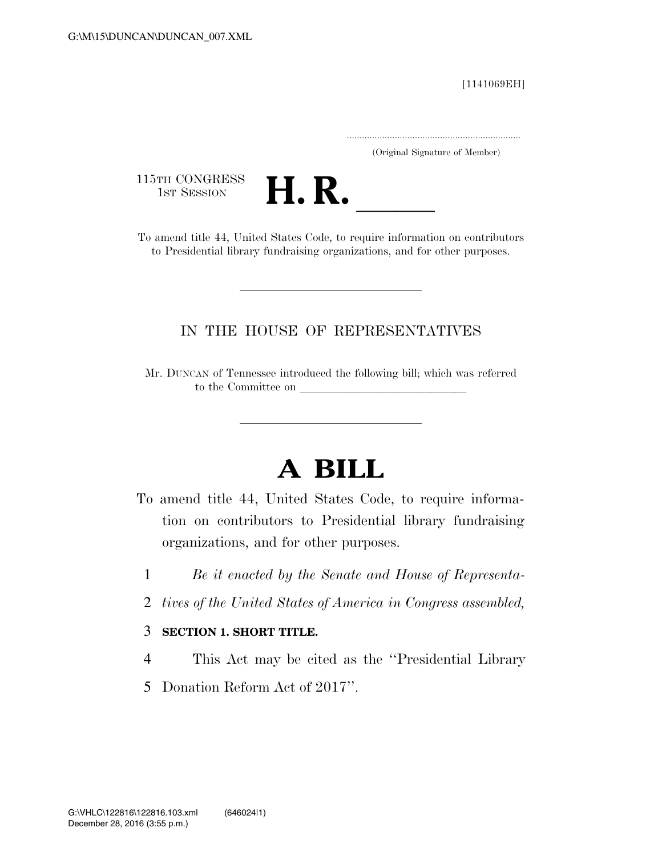[1141069EH]

.....................................................................

(Original Signature of Member)

115TH CONGRESS<br>1st Session



115TH CONGRESS<br>
1ST SESSION<br>
To amend title 44, United States Code, to require information on contributors to Presidential library fundraising organizations, and for other purposes.

## IN THE HOUSE OF REPRESENTATIVES

Mr. DUNCAN of Tennessee introduced the following bill; which was referred to the Committee on

## **A BILL**

- To amend title 44, United States Code, to require information on contributors to Presidential library fundraising organizations, and for other purposes.
	- 1 *Be it enacted by the Senate and House of Representa-*
	- 2 *tives of the United States of America in Congress assembled,*

## 3 **SECTION 1. SHORT TITLE.**

- 4 This Act may be cited as the ''Presidential Library
- 5 Donation Reform Act of 2017''.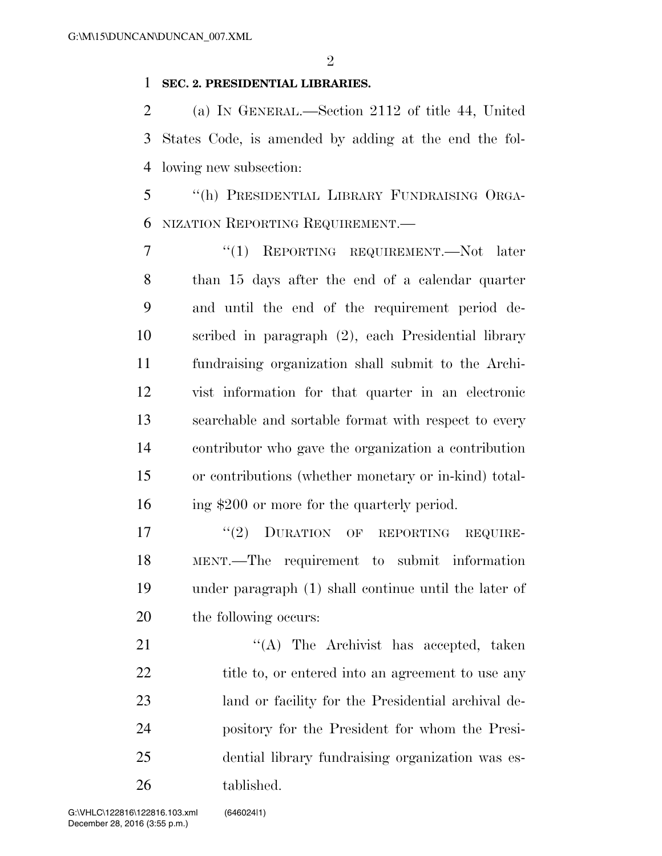## **SEC. 2. PRESIDENTIAL LIBRARIES.**

 (a) IN GENERAL.—Section 2112 of title 44, United States Code, is amended by adding at the end the fol-lowing new subsection:

 ''(h) PRESIDENTIAL LIBRARY FUNDRAISING ORGA-NIZATION REPORTING REQUIREMENT.—

 ''(1) REPORTING REQUIREMENT.—Not later than 15 days after the end of a calendar quarter and until the end of the requirement period de- scribed in paragraph (2), each Presidential library fundraising organization shall submit to the Archi- vist information for that quarter in an electronic searchable and sortable format with respect to every contributor who gave the organization a contribution or contributions (whether monetary or in-kind) total-ing \$200 or more for the quarterly period.

17 "(2) DURATION OF REPORTING REQUIRE- MENT.—The requirement to submit information under paragraph (1) shall continue until the later of the following occurs:

21 "'(A) The Archivist has accepted, taken 22 title to, or entered into an agreement to use any land or facility for the Presidential archival de- pository for the President for whom the Presi- dential library fundraising organization was es-tablished.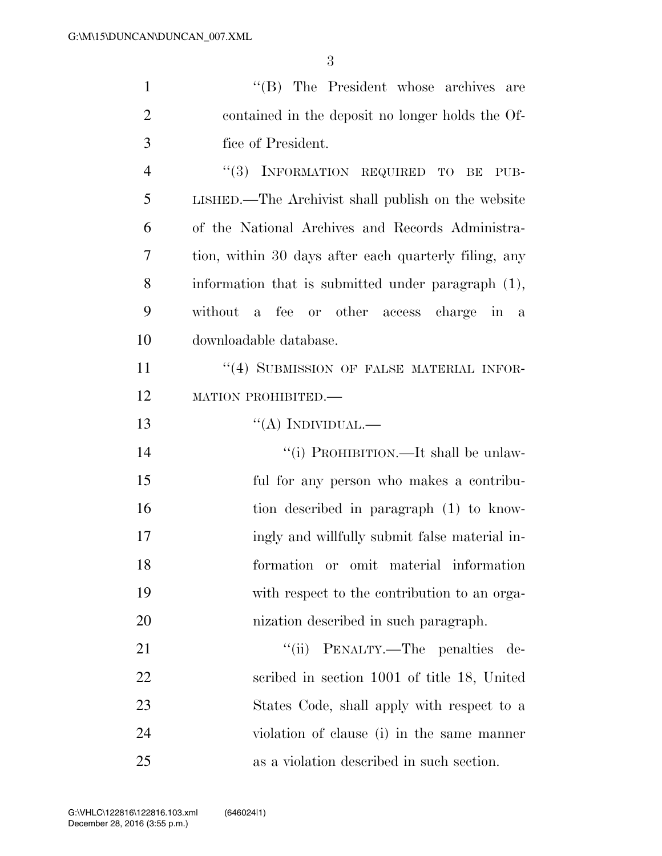| $\mathbf{1}$   | "(B) The President whose archives are                                    |
|----------------|--------------------------------------------------------------------------|
| $\overline{2}$ | contained in the deposit no longer holds the Of-                         |
| 3              | fice of President.                                                       |
| $\overline{4}$ | "(3) INFORMATION REQUIRED TO BE<br>PUB-                                  |
| 5              | LISHED.—The Archivist shall publish on the website                       |
| 6              | of the National Archives and Records Administra-                         |
| 7              | tion, within 30 days after each quarterly filing, any                    |
| 8              | information that is submitted under paragraph (1),                       |
| 9              | without a<br>fee or other access charge<br>$\overline{\text{in}}$<br>a a |
| 10             | downloadable database.                                                   |
| 11             | "(4) SUBMISSION OF FALSE MATERIAL INFOR-                                 |
| 12             | MATION PROHIBITED.-                                                      |
| 13             | "(A) INDIVIDUAL.—                                                        |
| 14             | "(i) PROHIBITION.—It shall be unlaw-                                     |
| 15             | ful for any person who makes a contribu-                                 |
| 16             | tion described in paragraph (1) to know-                                 |
| 17             | ingly and willfully submit false material in-                            |
| 18             | formation or omit material information                                   |
| 19             | with respect to the contribution to an orga-                             |
| 20             | nization described in such paragraph.                                    |
| 21             | "(ii) PENALTY.—The penalties de-                                         |
| 22             | scribed in section 1001 of title 18, United                              |
| 23             | States Code, shall apply with respect to a                               |
| 24             | violation of clause (i) in the same manner                               |
| 25             | as a violation described in such section.                                |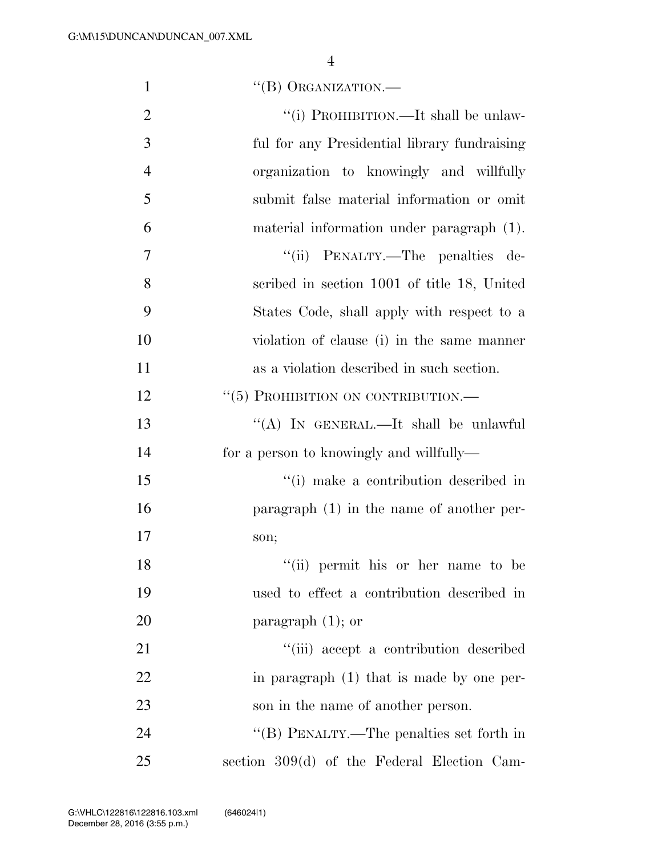| $\mathbf{1}$   | "(B) ORGANIZATION.—                          |
|----------------|----------------------------------------------|
| $\overline{2}$ | "(i) PROHIBITION.—It shall be unlaw-         |
| 3              | ful for any Presidential library fundraising |
| $\overline{4}$ | organization to knowingly and willfully      |
| 5              | submit false material information or omit    |
| 6              | material information under paragraph (1).    |
| 7              | "(ii) PENALTY.—The penalties de-             |
| 8              | scribed in section 1001 of title 18, United  |
| 9              | States Code, shall apply with respect to a   |
| 10             | violation of clause (i) in the same manner   |
| 11             | as a violation described in such section.    |
| 12             | " $(5)$ PROHIBITION ON CONTRIBUTION.—        |
| 13             | "(A) IN GENERAL.—It shall be unlawful        |
| 14             | for a person to knowingly and willfully—     |
| 15             | "(i) make a contribution described in        |
| 16             | paragraph $(1)$ in the name of another per-  |
| 17             | son;                                         |
| 18             | "(ii) permit his or her name to be           |
| 19             | used to effect a contribution described in   |
| 20             | paragraph $(1)$ ; or                         |
| 21             | "(iii) accept a contribution described       |
| 22             | in paragraph (1) that is made by one per-    |
| 23             | son in the name of another person.           |
| 24             | "(B) PENALTY.—The penalties set forth in     |
| 25             | section 309(d) of the Federal Election Cam-  |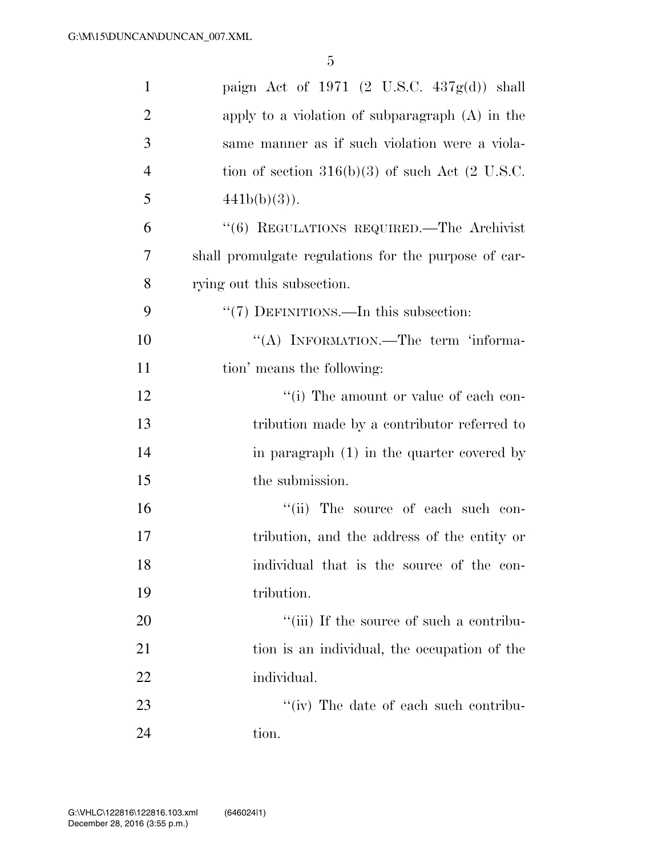| $\mathbf{1}$   | paign Act of 1971 $(2 \text{ U.S.C. } 437g(d))$ shall        |
|----------------|--------------------------------------------------------------|
| $\overline{2}$ | apply to a violation of subparagraph (A) in the              |
| 3              | same manner as if such violation were a viola-               |
| $\overline{4}$ | tion of section $316(b)(3)$ of such Act $(2 \text{ U.S.C.})$ |
| 5              | $441b(b)(3)$ ).                                              |
| 6              | "(6) REGULATIONS REQUIRED.—The Archivist                     |
| 7              | shall promulgate regulations for the purpose of car-         |
| 8              | rying out this subsection.                                   |
| 9              | "(7) DEFINITIONS.—In this subsection:                        |
| 10             | "(A) INFORMATION.—The term 'informa-                         |
| 11             | tion' means the following:                                   |
| 12             | "(i) The amount or value of each con-                        |
| 13             | tribution made by a contributor referred to                  |
| 14             | in paragraph $(1)$ in the quarter covered by                 |
| 15             | the submission.                                              |
| 16             | "(ii) The source of each such con-                           |
| 17             | tribution, and the address of the entity or                  |
| 18             | individual that is the source of the con-                    |
| 19             | tribution.                                                   |
| 20             | "(iii) If the source of such a contribu-                     |
| 21             | tion is an individual, the occupation of the                 |
| 22             | individual.                                                  |
| 23             | $\lq\lq$ (iv) The date of each such contribu-                |
| 24             | tion.                                                        |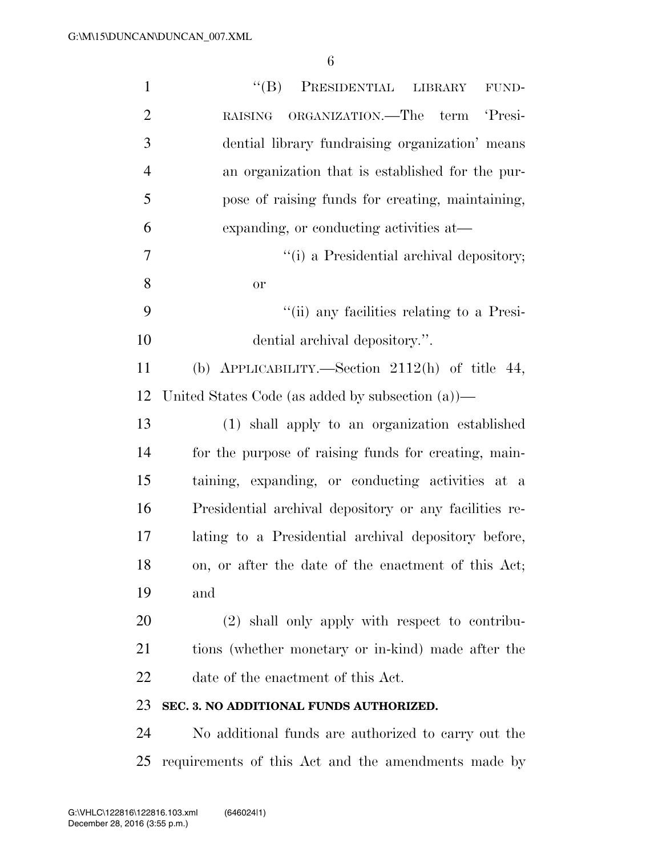| $\mathbf{1}$   | ``(B)<br>PRESIDENTIAL LIBRARY<br>FUND-                 |
|----------------|--------------------------------------------------------|
| $\overline{2}$ | ORGANIZATION. The term 'Presi-<br><b>RAISING</b>       |
| 3              | dential library fundraising organization' means        |
| $\overline{4}$ | an organization that is established for the pur-       |
| 5              | pose of raising funds for creating, maintaining,       |
| 6              | expanding, or conducting activities at-                |
| $\overline{7}$ | "(i) a Presidential archival depository;               |
| 8              | or                                                     |
| 9              | "(ii) any facilities relating to a Presi-              |
| 10             | dential archival depository.".                         |
| 11             | (b) APPLICABILITY.—Section $2112(h)$ of title 44,      |
| 12             | United States Code (as added by subsection $(a)$ )—    |
| 13             | (1) shall apply to an organization established         |
| 14             | for the purpose of raising funds for creating, main-   |
| 15             | taining, expanding, or conducting activities at a      |
| 16             | Presidential archival depository or any facilities re- |
| 17             | lating to a Presidential archival depository before,   |
| 18             | on, or after the date of the enactment of this Act;    |
| 19             | and                                                    |
| 20             | (2) shall only apply with respect to contribu-         |
| 21             | tions (whether monetary or in-kind) made after the     |
| 22             | date of the enactment of this Act.                     |
| 23             | SEC. 3. NO ADDITIONAL FUNDS AUTHORIZED.                |
| 24             | No additional funds are authorized to carry out the    |
| 25             | requirements of this Act and the amendments made by    |